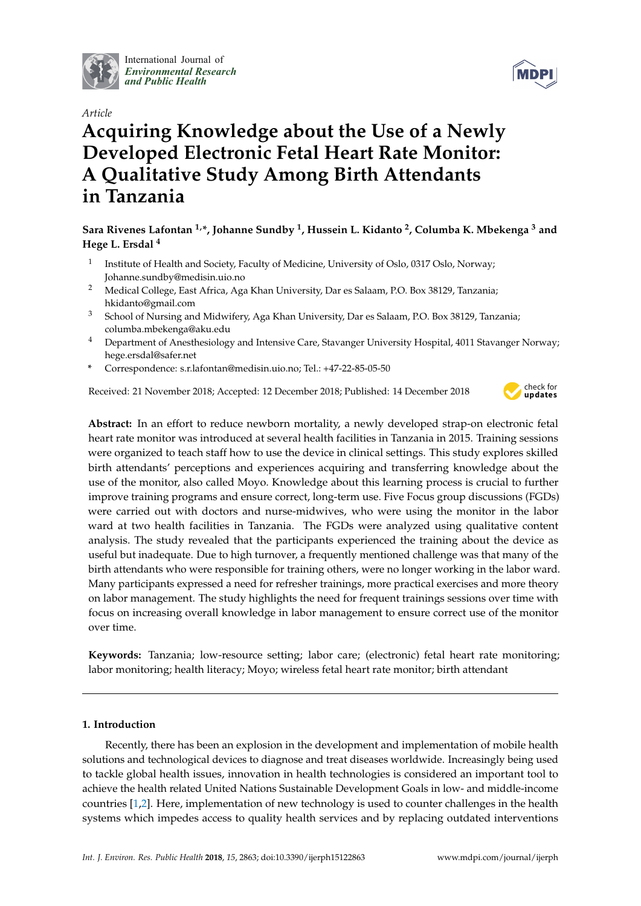

International Journal of *[Environmental Research](http://www.mdpi.com/journal/ijerph) and Public Health*

# *Article*

# **Acquiring Knowledge about the Use of a Newly Developed Electronic Fetal Heart Rate Monitor: A Qualitative Study Among Birth Attendants in Tanzania**

# **Sara Rivenes Lafontan 1,\*, Johanne Sundby <sup>1</sup> , Hussein L. Kidanto <sup>2</sup> , Columba K. Mbekenga <sup>3</sup> and Hege L. Ersdal <sup>4</sup>**

- 1 Institute of Health and Society, Faculty of Medicine, University of Oslo, 0317 Oslo, Norway; Johanne.sundby@medisin.uio.no
- <sup>2</sup> Medical College, East Africa, Aga Khan University, Dar es Salaam, P.O. Box 38129, Tanzania; hkidanto@gmail.com
- <sup>3</sup> School of Nursing and Midwifery, Aga Khan University, Dar es Salaam, P.O. Box 38129, Tanzania; columba.mbekenga@aku.edu
- <sup>4</sup> Department of Anesthesiology and Intensive Care, Stavanger University Hospital, 4011 Stavanger Norway; hege.ersdal@safer.net
- **\*** Correspondence: s.r.lafontan@medisin.uio.no; Tel.: +47-22-85-05-50

Received: 21 November 2018; Accepted: 12 December 2018; Published: 14 December 2018



**Abstract:** In an effort to reduce newborn mortality, a newly developed strap-on electronic fetal heart rate monitor was introduced at several health facilities in Tanzania in 2015. Training sessions were organized to teach staff how to use the device in clinical settings. This study explores skilled birth attendants' perceptions and experiences acquiring and transferring knowledge about the use of the monitor, also called Moyo. Knowledge about this learning process is crucial to further improve training programs and ensure correct, long-term use. Five Focus group discussions (FGDs) were carried out with doctors and nurse-midwives, who were using the monitor in the labor ward at two health facilities in Tanzania. The FGDs were analyzed using qualitative content analysis. The study revealed that the participants experienced the training about the device as useful but inadequate. Due to high turnover, a frequently mentioned challenge was that many of the birth attendants who were responsible for training others, were no longer working in the labor ward. Many participants expressed a need for refresher trainings, more practical exercises and more theory on labor management. The study highlights the need for frequent trainings sessions over time with focus on increasing overall knowledge in labor management to ensure correct use of the monitor over time.

**Keywords:** Tanzania; low-resource setting; labor care; (electronic) fetal heart rate monitoring; labor monitoring; health literacy; Moyo; wireless fetal heart rate monitor; birth attendant

# **1. Introduction**

Recently, there has been an explosion in the development and implementation of mobile health solutions and technological devices to diagnose and treat diseases worldwide. Increasingly being used to tackle global health issues, innovation in health technologies is considered an important tool to achieve the health related United Nations Sustainable Development Goals in low- and middle-income countries [\[1](#page-9-0)[,2\]](#page-9-1). Here, implementation of new technology is used to counter challenges in the health systems which impedes access to quality health services and by replacing outdated interventions

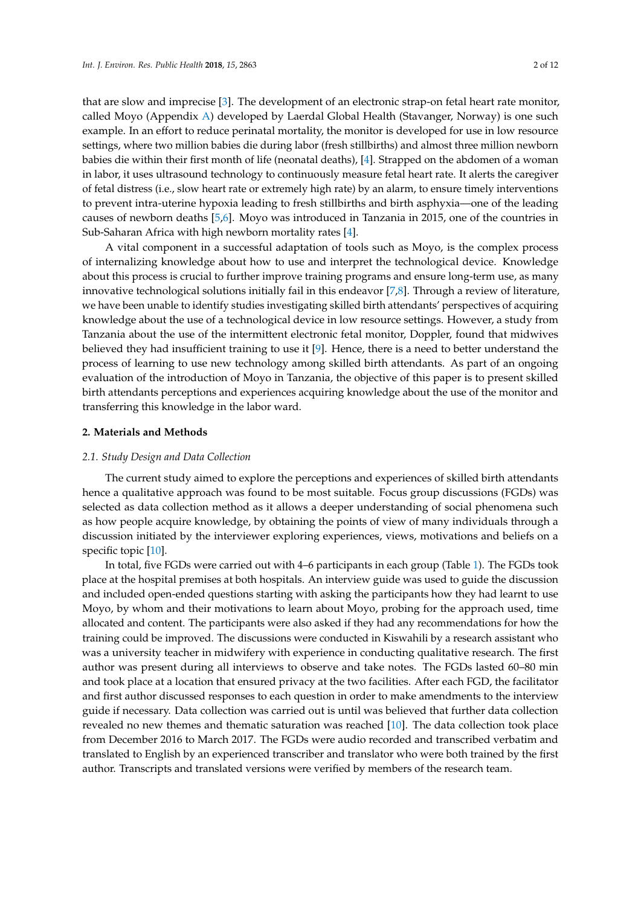that are slow and imprecise [\[3\]](#page-9-2). The development of an electronic strap-on fetal heart rate monitor, called Moyo (Appendix [A\)](#page-9-3) developed by Laerdal Global Health (Stavanger, Norway) is one such example. In an effort to reduce perinatal mortality, the monitor is developed for use in low resource settings, where two million babies die during labor (fresh stillbirths) and almost three million newborn babies die within their first month of life (neonatal deaths), [\[4\]](#page-9-4). Strapped on the abdomen of a woman in labor, it uses ultrasound technology to continuously measure fetal heart rate. It alerts the caregiver of fetal distress (i.e., slow heart rate or extremely high rate) by an alarm, to ensure timely interventions to prevent intra-uterine hypoxia leading to fresh stillbirths and birth asphyxia—one of the leading causes of newborn deaths [\[5,](#page-9-5)[6\]](#page-9-6). Moyo was introduced in Tanzania in 2015, one of the countries in Sub-Saharan Africa with high newborn mortality rates [\[4\]](#page-9-4).

A vital component in a successful adaptation of tools such as Moyo, is the complex process of internalizing knowledge about how to use and interpret the technological device. Knowledge about this process is crucial to further improve training programs and ensure long-term use, as many innovative technological solutions initially fail in this endeavor [\[7,](#page-9-7)[8\]](#page-10-0). Through a review of literature, we have been unable to identify studies investigating skilled birth attendants' perspectives of acquiring knowledge about the use of a technological device in low resource settings. However, a study from Tanzania about the use of the intermittent electronic fetal monitor, Doppler, found that midwives believed they had insufficient training to use it [\[9\]](#page-10-1). Hence, there is a need to better understand the process of learning to use new technology among skilled birth attendants. As part of an ongoing evaluation of the introduction of Moyo in Tanzania, the objective of this paper is to present skilled birth attendants perceptions and experiences acquiring knowledge about the use of the monitor and transferring this knowledge in the labor ward.

#### **2. Materials and Methods**

#### *2.1. Study Design and Data Collection*

The current study aimed to explore the perceptions and experiences of skilled birth attendants hence a qualitative approach was found to be most suitable. Focus group discussions (FGDs) was selected as data collection method as it allows a deeper understanding of social phenomena such as how people acquire knowledge, by obtaining the points of view of many individuals through a discussion initiated by the interviewer exploring experiences, views, motivations and beliefs on a specific topic [\[10\]](#page-10-2).

In total, five FGDs were carried out with 4–6 participants in each group (Table [1\)](#page-2-0). The FGDs took place at the hospital premises at both hospitals. An interview guide was used to guide the discussion and included open-ended questions starting with asking the participants how they had learnt to use Moyo, by whom and their motivations to learn about Moyo, probing for the approach used, time allocated and content. The participants were also asked if they had any recommendations for how the training could be improved. The discussions were conducted in Kiswahili by a research assistant who was a university teacher in midwifery with experience in conducting qualitative research. The first author was present during all interviews to observe and take notes. The FGDs lasted 60–80 min and took place at a location that ensured privacy at the two facilities. After each FGD, the facilitator and first author discussed responses to each question in order to make amendments to the interview guide if necessary. Data collection was carried out is until was believed that further data collection revealed no new themes and thematic saturation was reached [\[10\]](#page-10-2). The data collection took place from December 2016 to March 2017. The FGDs were audio recorded and transcribed verbatim and translated to English by an experienced transcriber and translator who were both trained by the first author. Transcripts and translated versions were verified by members of the research team.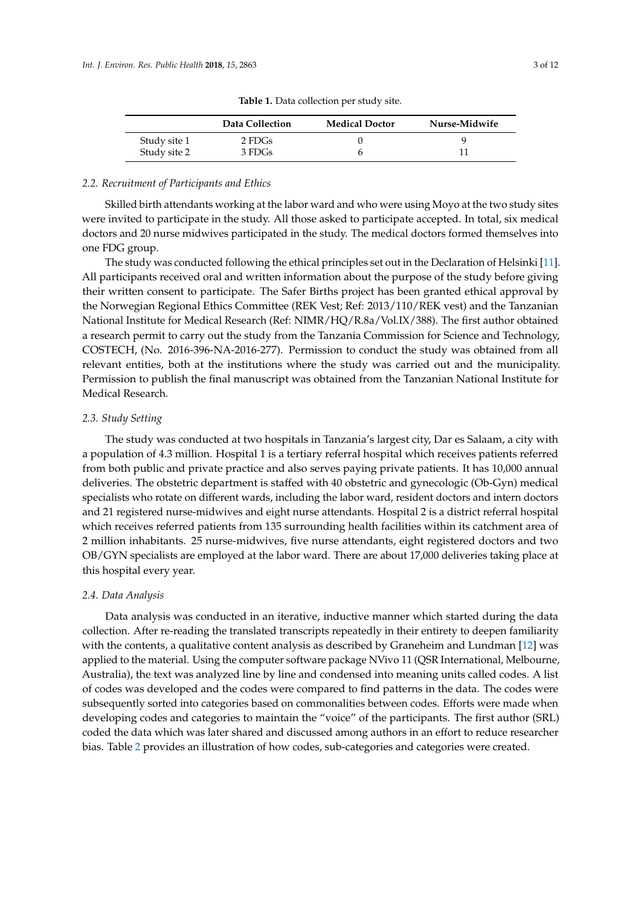<span id="page-2-0"></span>

|              | Data Collection | <b>Medical Doctor</b> | Nurse-Midwife |
|--------------|-----------------|-----------------------|---------------|
| Study site 1 | 2 FDGs          |                       |               |
| Study site 2 | 3 FDGs          |                       |               |

**Table 1.** Data collection per study site.

# *2.2. Recruitment of Participants and Ethics*

Skilled birth attendants working at the labor ward and who were using Moyo at the two study sites were invited to participate in the study. All those asked to participate accepted. In total, six medical doctors and 20 nurse midwives participated in the study. The medical doctors formed themselves into one FDG group.

The study was conducted following the ethical principles set out in the Declaration of Helsinki [\[11\]](#page-10-3). All participants received oral and written information about the purpose of the study before giving their written consent to participate. The Safer Births project has been granted ethical approval by the Norwegian Regional Ethics Committee (REK Vest; Ref: 2013/110/REK vest) and the Tanzanian National Institute for Medical Research (Ref: NIMR/HQ/R.8a/Vol.IX/388). The first author obtained a research permit to carry out the study from the Tanzania Commission for Science and Technology, COSTECH, (No. 2016-396-NA-2016-277). Permission to conduct the study was obtained from all relevant entities, both at the institutions where the study was carried out and the municipality. Permission to publish the final manuscript was obtained from the Tanzanian National Institute for Medical Research.

#### *2.3. Study Setting*

The study was conducted at two hospitals in Tanzania's largest city, Dar es Salaam, a city with a population of 4.3 million. Hospital 1 is a tertiary referral hospital which receives patients referred from both public and private practice and also serves paying private patients. It has 10,000 annual deliveries. The obstetric department is staffed with 40 obstetric and gynecologic (Ob-Gyn) medical specialists who rotate on different wards, including the labor ward, resident doctors and intern doctors and 21 registered nurse-midwives and eight nurse attendants. Hospital 2 is a district referral hospital which receives referred patients from 135 surrounding health facilities within its catchment area of 2 million inhabitants. 25 nurse-midwives, five nurse attendants, eight registered doctors and two OB/GYN specialists are employed at the labor ward. There are about 17,000 deliveries taking place at this hospital every year.

#### *2.4. Data Analysis*

Data analysis was conducted in an iterative, inductive manner which started during the data collection. After re-reading the translated transcripts repeatedly in their entirety to deepen familiarity with the contents, a qualitative content analysis as described by Graneheim and Lundman [\[12\]](#page-10-4) was applied to the material. Using the computer software package NVivo 11 (QSR International, Melbourne, Australia), the text was analyzed line by line and condensed into meaning units called codes. A list of codes was developed and the codes were compared to find patterns in the data. The codes were subsequently sorted into categories based on commonalities between codes. Efforts were made when developing codes and categories to maintain the "voice" of the participants. The first author (SRL) coded the data which was later shared and discussed among authors in an effort to reduce researcher bias. Table [2](#page-3-0) provides an illustration of how codes, sub-categories and categories were created.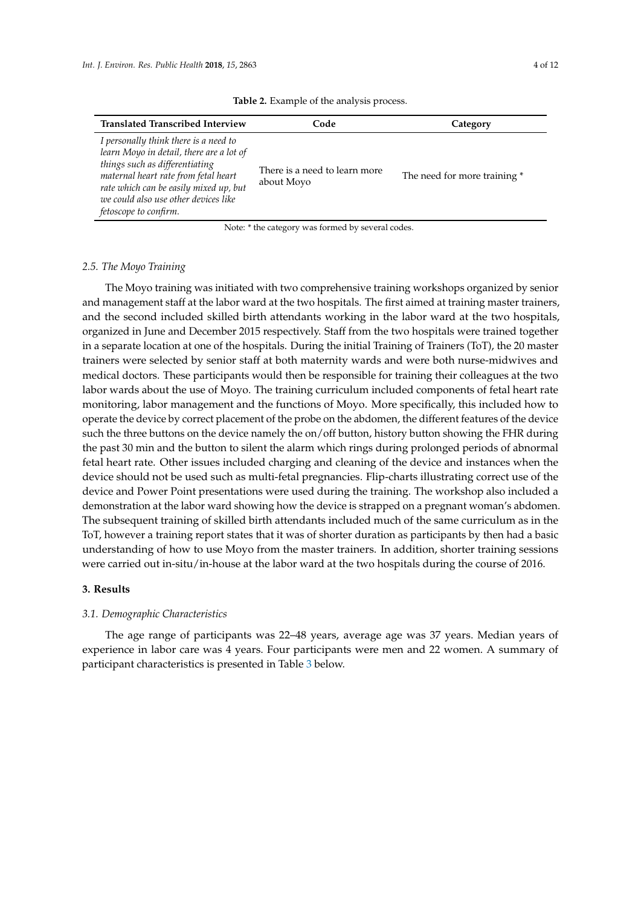<span id="page-3-0"></span>

| <b>Translated Transcribed Interview</b>                                                                                                                                                                                                                                | Code                                        | Category                     |
|------------------------------------------------------------------------------------------------------------------------------------------------------------------------------------------------------------------------------------------------------------------------|---------------------------------------------|------------------------------|
| I personally think there is a need to<br>learn Moyo in detail, there are a lot of<br>things such as differentiating<br>maternal heart rate from fetal heart<br>rate which can be easily mixed up, but<br>we could also use other devices like<br>fetoscope to confirm. | There is a need to learn more<br>about Moyo | The need for more training * |

**Table 2.** Example of the analysis process.

#### Note: \* the category was formed by several codes.

#### *2.5. The Moyo Training*

The Moyo training was initiated with two comprehensive training workshops organized by senior and management staff at the labor ward at the two hospitals. The first aimed at training master trainers, and the second included skilled birth attendants working in the labor ward at the two hospitals, organized in June and December 2015 respectively. Staff from the two hospitals were trained together in a separate location at one of the hospitals. During the initial Training of Trainers (ToT), the 20 master trainers were selected by senior staff at both maternity wards and were both nurse-midwives and medical doctors. These participants would then be responsible for training their colleagues at the two labor wards about the use of Moyo. The training curriculum included components of fetal heart rate monitoring, labor management and the functions of Moyo. More specifically, this included how to operate the device by correct placement of the probe on the abdomen, the different features of the device such the three buttons on the device namely the on/off button, history button showing the FHR during the past 30 min and the button to silent the alarm which rings during prolonged periods of abnormal fetal heart rate. Other issues included charging and cleaning of the device and instances when the device should not be used such as multi-fetal pregnancies. Flip-charts illustrating correct use of the device and Power Point presentations were used during the training. The workshop also included a demonstration at the labor ward showing how the device is strapped on a pregnant woman's abdomen. The subsequent training of skilled birth attendants included much of the same curriculum as in the ToT, however a training report states that it was of shorter duration as participants by then had a basic understanding of how to use Moyo from the master trainers. In addition, shorter training sessions were carried out in-situ/in-house at the labor ward at the two hospitals during the course of 2016.

#### **3. Results**

#### *3.1. Demographic Characteristics*

The age range of participants was 22–48 years, average age was 37 years. Median years of experience in labor care was 4 years. Four participants were men and 22 women. A summary of participant characteristics is presented in Table [3](#page-4-0) below.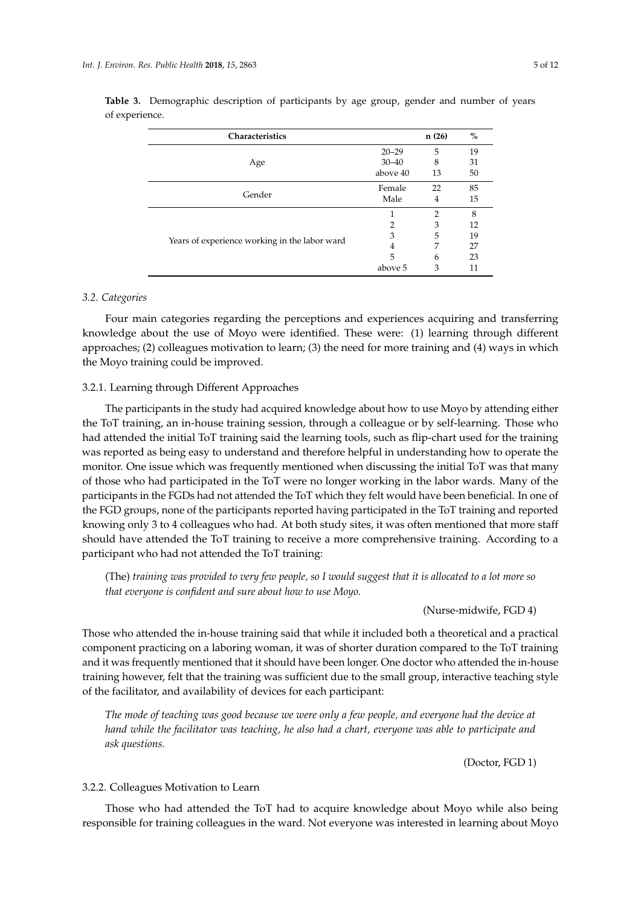| Characteristics                               |           |    | $\%$ |
|-----------------------------------------------|-----------|----|------|
|                                               | $20 - 29$ | 5  | 19   |
| Age                                           | $30 - 40$ | 8  | 31   |
|                                               | above 40  | 13 | 50   |
|                                               | Female    | 22 | 85   |
| Gender                                        | Male      | 4  | 15   |
|                                               |           | 2  | 8    |
|                                               | 2         | 3  | 12   |
|                                               | 3         | 5  | 19   |
| Years of experience working in the labor ward | 4         | 7  | 27   |
|                                               | 5         | 6  | 23   |
|                                               | above 5   | 3  | 11   |

<span id="page-4-0"></span>**Table 3.** Demographic description of participants by age group, gender and number of years of experience.

# *3.2. Categories*

Four main categories regarding the perceptions and experiences acquiring and transferring knowledge about the use of Moyo were identified. These were: (1) learning through different approaches; (2) colleagues motivation to learn; (3) the need for more training and (4) ways in which the Moyo training could be improved.

# 3.2.1. Learning through Different Approaches

The participants in the study had acquired knowledge about how to use Moyo by attending either the ToT training, an in-house training session, through a colleague or by self-learning. Those who had attended the initial ToT training said the learning tools, such as flip-chart used for the training was reported as being easy to understand and therefore helpful in understanding how to operate the monitor. One issue which was frequently mentioned when discussing the initial ToT was that many of those who had participated in the ToT were no longer working in the labor wards. Many of the participants in the FGDs had not attended the ToT which they felt would have been beneficial. In one of the FGD groups, none of the participants reported having participated in the ToT training and reported knowing only 3 to 4 colleagues who had. At both study sites, it was often mentioned that more staff should have attended the ToT training to receive a more comprehensive training. According to a participant who had not attended the ToT training:

(The) *training was provided to very few people, so I would suggest that it is allocated to a lot more so that everyone is confident and sure about how to use Moyo.*

(Nurse-midwife, FGD 4)

Those who attended the in-house training said that while it included both a theoretical and a practical component practicing on a laboring woman, it was of shorter duration compared to the ToT training and it was frequently mentioned that it should have been longer. One doctor who attended the in-house training however, felt that the training was sufficient due to the small group, interactive teaching style of the facilitator, and availability of devices for each participant:

*The mode of teaching was good because we were only a few people, and everyone had the device at hand while the facilitator was teaching, he also had a chart, everyone was able to participate and ask questions.*

(Doctor, FGD 1)

#### 3.2.2. Colleagues Motivation to Learn

Those who had attended the ToT had to acquire knowledge about Moyo while also being responsible for training colleagues in the ward. Not everyone was interested in learning about Moyo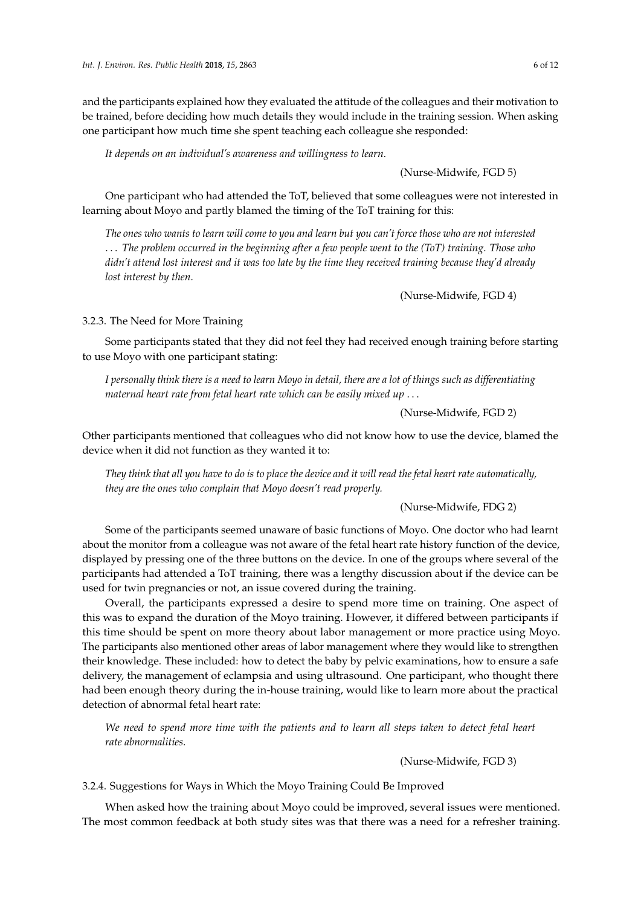and the participants explained how they evaluated the attitude of the colleagues and their motivation to be trained, before deciding how much details they would include in the training session. When asking one participant how much time she spent teaching each colleague she responded:

*It depends on an individual's awareness and willingness to learn.*

(Nurse-Midwife, FGD 5)

One participant who had attended the ToT, believed that some colleagues were not interested in learning about Moyo and partly blamed the timing of the ToT training for this:

*The ones who wants to learn will come to you and learn but you can't force those who are not interested* . . . *The problem occurred in the beginning after a few people went to the (ToT) training. Those who didn't attend lost interest and it was too late by the time they received training because they'd already lost interest by then.*

(Nurse-Midwife, FGD 4)

3.2.3. The Need for More Training

Some participants stated that they did not feel they had received enough training before starting to use Moyo with one participant stating:

*I personally think there is a need to learn Moyo in detail, there are a lot of things such as differentiating maternal heart rate from fetal heart rate which can be easily mixed up* . . .

(Nurse-Midwife, FGD 2)

Other participants mentioned that colleagues who did not know how to use the device, blamed the device when it did not function as they wanted it to:

*They think that all you have to do is to place the device and it will read the fetal heart rate automatically, they are the ones who complain that Moyo doesn't read properly.*

(Nurse-Midwife, FDG 2)

Some of the participants seemed unaware of basic functions of Moyo. One doctor who had learnt about the monitor from a colleague was not aware of the fetal heart rate history function of the device, displayed by pressing one of the three buttons on the device. In one of the groups where several of the participants had attended a ToT training, there was a lengthy discussion about if the device can be used for twin pregnancies or not, an issue covered during the training.

Overall, the participants expressed a desire to spend more time on training. One aspect of this was to expand the duration of the Moyo training. However, it differed between participants if this time should be spent on more theory about labor management or more practice using Moyo. The participants also mentioned other areas of labor management where they would like to strengthen their knowledge. These included: how to detect the baby by pelvic examinations, how to ensure a safe delivery, the management of eclampsia and using ultrasound. One participant, who thought there had been enough theory during the in-house training, would like to learn more about the practical detection of abnormal fetal heart rate:

*We need to spend more time with the patients and to learn all steps taken to detect fetal heart rate abnormalities.*

(Nurse-Midwife, FGD 3)

3.2.4. Suggestions for Ways in Which the Moyo Training Could Be Improved

When asked how the training about Moyo could be improved, several issues were mentioned. The most common feedback at both study sites was that there was a need for a refresher training.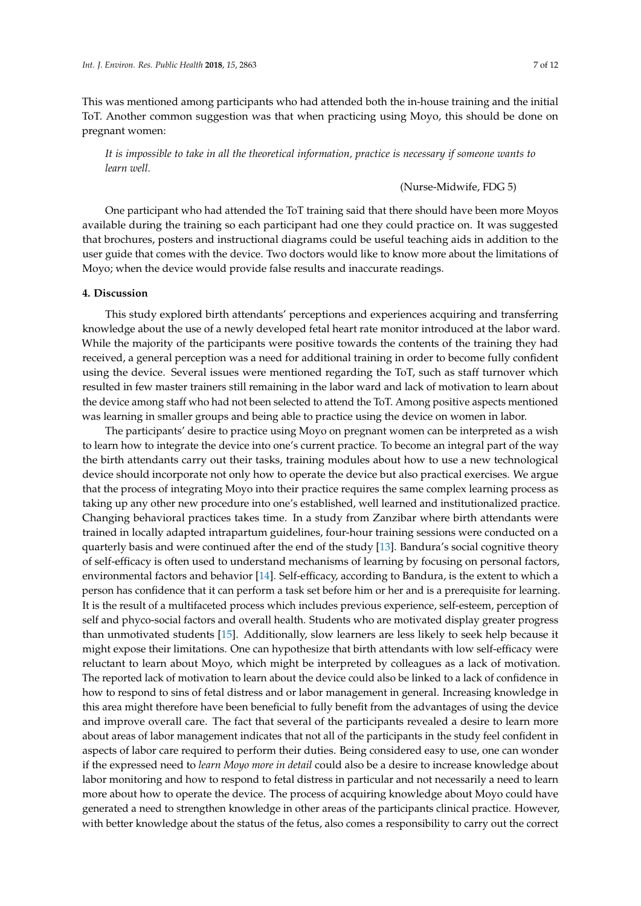This was mentioned among participants who had attended both the in-house training and the initial ToT. Another common suggestion was that when practicing using Moyo, this should be done on pregnant women:

*It is impossible to take in all the theoretical information, practice is necessary if someone wants to learn well.*

# (Nurse-Midwife, FDG 5)

One participant who had attended the ToT training said that there should have been more Moyos available during the training so each participant had one they could practice on. It was suggested that brochures, posters and instructional diagrams could be useful teaching aids in addition to the user guide that comes with the device. Two doctors would like to know more about the limitations of Moyo; when the device would provide false results and inaccurate readings.

# **4. Discussion**

This study explored birth attendants' perceptions and experiences acquiring and transferring knowledge about the use of a newly developed fetal heart rate monitor introduced at the labor ward. While the majority of the participants were positive towards the contents of the training they had received, a general perception was a need for additional training in order to become fully confident using the device. Several issues were mentioned regarding the ToT, such as staff turnover which resulted in few master trainers still remaining in the labor ward and lack of motivation to learn about the device among staff who had not been selected to attend the ToT. Among positive aspects mentioned was learning in smaller groups and being able to practice using the device on women in labor.

The participants' desire to practice using Moyo on pregnant women can be interpreted as a wish to learn how to integrate the device into one's current practice. To become an integral part of the way the birth attendants carry out their tasks, training modules about how to use a new technological device should incorporate not only how to operate the device but also practical exercises. We argue that the process of integrating Moyo into their practice requires the same complex learning process as taking up any other new procedure into one's established, well learned and institutionalized practice. Changing behavioral practices takes time. In a study from Zanzibar where birth attendants were trained in locally adapted intrapartum guidelines, four-hour training sessions were conducted on a quarterly basis and were continued after the end of the study [\[13\]](#page-10-5). Bandura's social cognitive theory of self-efficacy is often used to understand mechanisms of learning by focusing on personal factors, environmental factors and behavior [\[14\]](#page-10-6). Self-efficacy, according to Bandura, is the extent to which a person has confidence that it can perform a task set before him or her and is a prerequisite for learning. It is the result of a multifaceted process which includes previous experience, self-esteem, perception of self and phyco-social factors and overall health. Students who are motivated display greater progress than unmotivated students [\[15\]](#page-10-7). Additionally, slow learners are less likely to seek help because it might expose their limitations. One can hypothesize that birth attendants with low self-efficacy were reluctant to learn about Moyo, which might be interpreted by colleagues as a lack of motivation. The reported lack of motivation to learn about the device could also be linked to a lack of confidence in how to respond to sins of fetal distress and or labor management in general. Increasing knowledge in this area might therefore have been beneficial to fully benefit from the advantages of using the device and improve overall care. The fact that several of the participants revealed a desire to learn more about areas of labor management indicates that not all of the participants in the study feel confident in aspects of labor care required to perform their duties. Being considered easy to use, one can wonder if the expressed need to *learn Moyo more in detail* could also be a desire to increase knowledge about labor monitoring and how to respond to fetal distress in particular and not necessarily a need to learn more about how to operate the device. The process of acquiring knowledge about Moyo could have generated a need to strengthen knowledge in other areas of the participants clinical practice. However, with better knowledge about the status of the fetus, also comes a responsibility to carry out the correct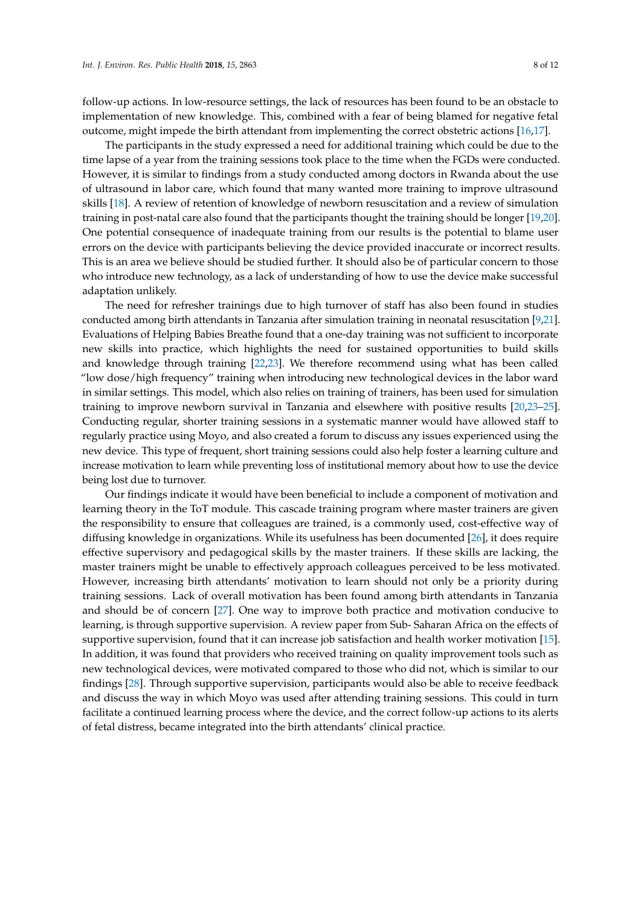follow-up actions. In low-resource settings, the lack of resources has been found to be an obstacle to implementation of new knowledge. This, combined with a fear of being blamed for negative fetal outcome, might impede the birth attendant from implementing the correct obstetric actions [\[16](#page-10-8)[,17\]](#page-10-9).

The participants in the study expressed a need for additional training which could be due to the time lapse of a year from the training sessions took place to the time when the FGDs were conducted. However, it is similar to findings from a study conducted among doctors in Rwanda about the use of ultrasound in labor care, which found that many wanted more training to improve ultrasound skills [\[18\]](#page-10-10). A review of retention of knowledge of newborn resuscitation and a review of simulation training in post-natal care also found that the participants thought the training should be longer [\[19](#page-10-11)[,20\]](#page-10-12). One potential consequence of inadequate training from our results is the potential to blame user errors on the device with participants believing the device provided inaccurate or incorrect results. This is an area we believe should be studied further. It should also be of particular concern to those who introduce new technology, as a lack of understanding of how to use the device make successful adaptation unlikely.

The need for refresher trainings due to high turnover of staff has also been found in studies conducted among birth attendants in Tanzania after simulation training in neonatal resuscitation [\[9,](#page-10-1)[21\]](#page-10-13). Evaluations of Helping Babies Breathe found that a one-day training was not sufficient to incorporate new skills into practice, which highlights the need for sustained opportunities to build skills and knowledge through training [\[22](#page-10-14)[,23\]](#page-10-15). We therefore recommend using what has been called "low dose/high frequency" training when introducing new technological devices in the labor ward in similar settings. This model, which also relies on training of trainers, has been used for simulation training to improve newborn survival in Tanzania and elsewhere with positive results [\[20](#page-10-12)[,23–](#page-10-15)[25\]](#page-10-16). Conducting regular, shorter training sessions in a systematic manner would have allowed staff to regularly practice using Moyo, and also created a forum to discuss any issues experienced using the new device. This type of frequent, short training sessions could also help foster a learning culture and increase motivation to learn while preventing loss of institutional memory about how to use the device being lost due to turnover.

Our findings indicate it would have been beneficial to include a component of motivation and learning theory in the ToT module. This cascade training program where master trainers are given the responsibility to ensure that colleagues are trained, is a commonly used, cost-effective way of diffusing knowledge in organizations. While its usefulness has been documented [\[26\]](#page-10-17), it does require effective supervisory and pedagogical skills by the master trainers. If these skills are lacking, the master trainers might be unable to effectively approach colleagues perceived to be less motivated. However, increasing birth attendants' motivation to learn should not only be a priority during training sessions. Lack of overall motivation has been found among birth attendants in Tanzania and should be of concern [\[27\]](#page-11-0). One way to improve both practice and motivation conducive to learning, is through supportive supervision. A review paper from Sub- Saharan Africa on the effects of supportive supervision, found that it can increase job satisfaction and health worker motivation [\[15\]](#page-10-7). In addition, it was found that providers who received training on quality improvement tools such as new technological devices, were motivated compared to those who did not, which is similar to our findings [\[28\]](#page-11-1). Through supportive supervision, participants would also be able to receive feedback and discuss the way in which Moyo was used after attending training sessions. This could in turn facilitate a continued learning process where the device, and the correct follow-up actions to its alerts of fetal distress, became integrated into the birth attendants' clinical practice.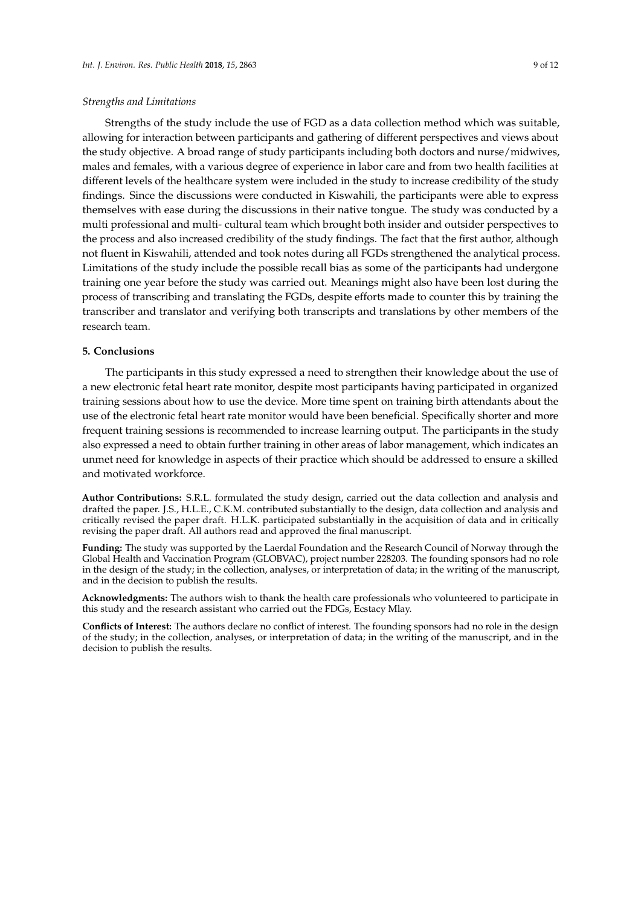#### *Strengths and Limitations*

Strengths of the study include the use of FGD as a data collection method which was suitable, allowing for interaction between participants and gathering of different perspectives and views about the study objective. A broad range of study participants including both doctors and nurse/midwives, males and females, with a various degree of experience in labor care and from two health facilities at different levels of the healthcare system were included in the study to increase credibility of the study findings. Since the discussions were conducted in Kiswahili, the participants were able to express themselves with ease during the discussions in their native tongue. The study was conducted by a multi professional and multi- cultural team which brought both insider and outsider perspectives to the process and also increased credibility of the study findings. The fact that the first author, although not fluent in Kiswahili, attended and took notes during all FGDs strengthened the analytical process. Limitations of the study include the possible recall bias as some of the participants had undergone training one year before the study was carried out. Meanings might also have been lost during the process of transcribing and translating the FGDs, despite efforts made to counter this by training the transcriber and translator and verifying both transcripts and translations by other members of the research team.

#### **5. Conclusions**

The participants in this study expressed a need to strengthen their knowledge about the use of a new electronic fetal heart rate monitor, despite most participants having participated in organized training sessions about how to use the device. More time spent on training birth attendants about the use of the electronic fetal heart rate monitor would have been beneficial. Specifically shorter and more frequent training sessions is recommended to increase learning output. The participants in the study also expressed a need to obtain further training in other areas of labor management, which indicates an unmet need for knowledge in aspects of their practice which should be addressed to ensure a skilled and motivated workforce.

**Author Contributions:** S.R.L. formulated the study design, carried out the data collection and analysis and drafted the paper. J.S., H.L.E., C.K.M. contributed substantially to the design, data collection and analysis and critically revised the paper draft. H.L.K. participated substantially in the acquisition of data and in critically revising the paper draft. All authors read and approved the final manuscript.

**Funding:** The study was supported by the Laerdal Foundation and the Research Council of Norway through the Global Health and Vaccination Program (GLOBVAC), project number 228203. The founding sponsors had no role in the design of the study; in the collection, analyses, or interpretation of data; in the writing of the manuscript, and in the decision to publish the results.

**Acknowledgments:** The authors wish to thank the health care professionals who volunteered to participate in this study and the research assistant who carried out the FDGs, Ecstacy Mlay.

**Conflicts of Interest:** The authors declare no conflict of interest. The founding sponsors had no role in the design of the study; in the collection, analyses, or interpretation of data; in the writing of the manuscript, and in the decision to publish the results.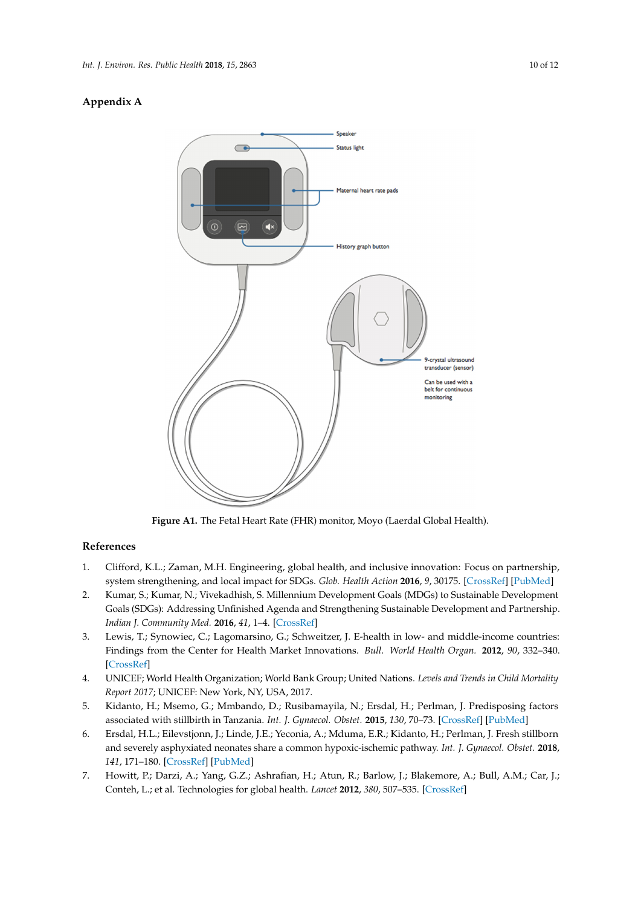# <span id="page-9-3"></span>**Appendix A Appendix A**



**Figure A1.** The Fetal Heart Rate (FHR) monitor, Moyo (Laerdal Global Health). **Figure A1.** The Fetal Heart Rate (FHR) monitor, Moyo (Laerdal Global Health).

# **References**

- <span id="page-9-0"></span>1. Clifford, K.L.; Zaman, M.H. Engineering, global health, and inclusive innovation: Focus on partnership, system strengthening, and local impact for SDGs. *Glob. Health Action* **2016**, *9*, 30175. [\[CrossRef\]](http://dx.doi.org/10.3402/gha.v9.30175) [\[PubMed\]](http://www.ncbi.nlm.nih.gov/pubmed/26790462)
- <span id="page-9-1"></span>2. Kumar, S.; Kumar, N.; Vivekadhish, S. Millennium Development Goals (MDGs) to Sustainable Development Goals (SDGs): Addressing Unfinished Agenda and Strengthening Sustainable Development and Partnership. *Indian J. Community Med.* **2016**, *41*, 1–4. [\[CrossRef\]](http://dx.doi.org/10.4103/0970-0218.170955)
- <span id="page-9-2"></span>3. Lewis, T.; Synowiec, C.; Lagomarsino, G.; Schweitzer, J. E-health in low- and middle-income countries: Findings from the Center for Health Market Innovations. *Bull. World Health Organ.* **2012**, *90*, 332–340. [\[CrossRef\]](http://dx.doi.org/10.2471/BLT.11.099820)
- <span id="page-9-4"></span>4. UNICEF; World Health Organization; World Bank Group; United Nations. *Levels and Trends in Child Mortality Report 2017*; UNICEF: New York, NY, USA, 2017.
- <span id="page-9-5"></span>5. Kidanto, H.; Msemo, G.; Mmbando, D.; Rusibamayila, N.; Ersdal, H.; Perlman, J. Predisposing factors associated with stillbirth in Tanzania. *Int. J. Gynaecol. Obstet.* **2015**, *130*, 70–73. [\[CrossRef\]](http://dx.doi.org/10.1016/j.ijgo.2015.01.012) [\[PubMed\]](http://www.ncbi.nlm.nih.gov/pubmed/25842995)
- <span id="page-9-6"></span>6. Ersdal, H.L.; Eilevstjonn, J.; Linde, J.E.; Yeconia, A.; Mduma, E.R.; Kidanto, H.; Perlman, J. Fresh stillborn and severely asphyxiated neonates share a common hypoxic-ischemic pathway. *Int. J. Gynaecol. Obstet.* **2018**, *141*, 171–180. [\[CrossRef\]](http://dx.doi.org/10.1002/ijgo.12430) [\[PubMed\]](http://www.ncbi.nlm.nih.gov/pubmed/29250782)
- <span id="page-9-7"></span>7. Howitt, P.; Darzi, A.; Yang, G.Z.; Ashrafian, H.; Atun, R.; Barlow, J.; Blakemore, A.; Bull, A.M.; Car, J.; Conteh, L.; et al. Technologies for global health. *Lancet* **2012**, *380*, 507–535. [\[CrossRef\]](http://dx.doi.org/10.1016/S0140-6736(12)61127-1)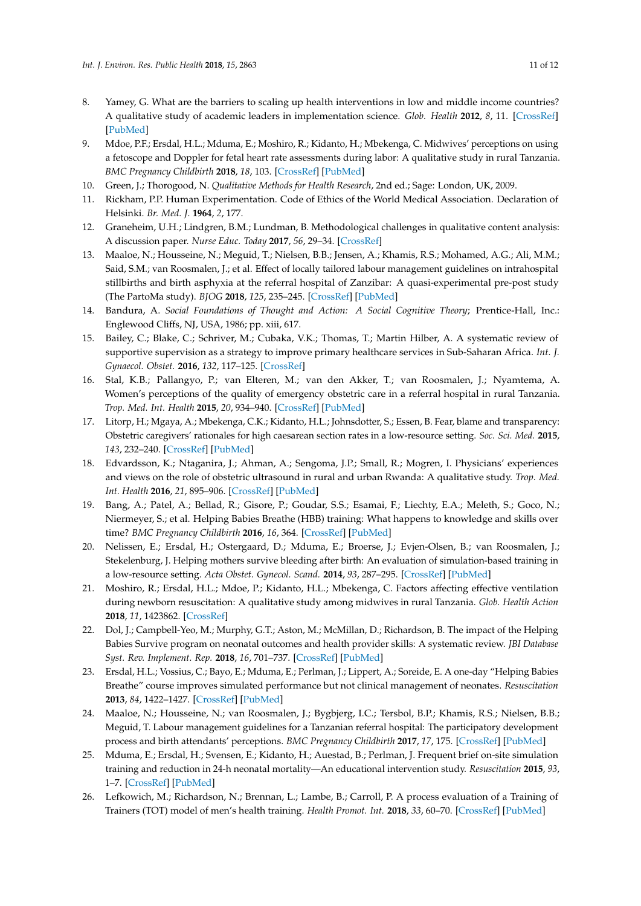- <span id="page-10-0"></span>8. Yamey, G. What are the barriers to scaling up health interventions in low and middle income countries? A qualitative study of academic leaders in implementation science. *Glob. Health* **2012**, *8*, 11. [\[CrossRef\]](http://dx.doi.org/10.1186/1744-8603-8-11) [\[PubMed\]](http://www.ncbi.nlm.nih.gov/pubmed/22643120)
- <span id="page-10-1"></span>9. Mdoe, P.F.; Ersdal, H.L.; Mduma, E.; Moshiro, R.; Kidanto, H.; Mbekenga, C. Midwives' perceptions on using a fetoscope and Doppler for fetal heart rate assessments during labor: A qualitative study in rural Tanzania. *BMC Pregnancy Childbirth* **2018**, *18*, 103. [\[CrossRef\]](http://dx.doi.org/10.1186/s12884-018-1736-y) [\[PubMed\]](http://www.ncbi.nlm.nih.gov/pubmed/29661165)
- <span id="page-10-2"></span>10. Green, J.; Thorogood, N. *Qualitative Methods for Health Research*, 2nd ed.; Sage: London, UK, 2009.
- <span id="page-10-3"></span>11. Rickham, P.P. Human Experimentation. Code of Ethics of the World Medical Association. Declaration of Helsinki. *Br. Med. J.* **1964**, *2*, 177.
- <span id="page-10-4"></span>12. Graneheim, U.H.; Lindgren, B.M.; Lundman, B. Methodological challenges in qualitative content analysis: A discussion paper. *Nurse Educ. Today* **2017**, *56*, 29–34. [\[CrossRef\]](http://dx.doi.org/10.1016/j.nedt.2017.06.002)
- <span id="page-10-5"></span>13. Maaloe, N.; Housseine, N.; Meguid, T.; Nielsen, B.B.; Jensen, A.; Khamis, R.S.; Mohamed, A.G.; Ali, M.M.; Said, S.M.; van Roosmalen, J.; et al. Effect of locally tailored labour management guidelines on intrahospital stillbirths and birth asphyxia at the referral hospital of Zanzibar: A quasi-experimental pre-post study (The PartoMa study). *BJOG* **2018**, *125*, 235–245. [\[CrossRef\]](http://dx.doi.org/10.1111/1471-0528.14933) [\[PubMed\]](http://www.ncbi.nlm.nih.gov/pubmed/28892306)
- <span id="page-10-6"></span>14. Bandura, A. *Social Foundations of Thought and Action: A Social Cognitive Theory*; Prentice-Hall, Inc.: Englewood Cliffs, NJ, USA, 1986; pp. xiii, 617.
- <span id="page-10-7"></span>15. Bailey, C.; Blake, C.; Schriver, M.; Cubaka, V.K.; Thomas, T.; Martin Hilber, A. A systematic review of supportive supervision as a strategy to improve primary healthcare services in Sub-Saharan Africa. *Int. J. Gynaecol. Obstet.* **2016**, *132*, 117–125. [\[CrossRef\]](http://dx.doi.org/10.1016/j.ijgo.2015.10.004)
- <span id="page-10-8"></span>16. Stal, K.B.; Pallangyo, P.; van Elteren, M.; van den Akker, T.; van Roosmalen, J.; Nyamtema, A. Women's perceptions of the quality of emergency obstetric care in a referral hospital in rural Tanzania. *Trop. Med. Int. Health* **2015**, *20*, 934–940. [\[CrossRef\]](http://dx.doi.org/10.1111/tmi.12496) [\[PubMed\]](http://www.ncbi.nlm.nih.gov/pubmed/25726853)
- <span id="page-10-9"></span>17. Litorp, H.; Mgaya, A.; Mbekenga, C.K.; Kidanto, H.L.; Johnsdotter, S.; Essen, B. Fear, blame and transparency: Obstetric caregivers' rationales for high caesarean section rates in a low-resource setting. *Soc. Sci. Med.* **2015**, *143*, 232–240. [\[CrossRef\]](http://dx.doi.org/10.1016/j.socscimed.2015.09.003) [\[PubMed\]](http://www.ncbi.nlm.nih.gov/pubmed/26364010)
- <span id="page-10-10"></span>18. Edvardsson, K.; Ntaganira, J.; Ahman, A.; Sengoma, J.P.; Small, R.; Mogren, I. Physicians' experiences and views on the role of obstetric ultrasound in rural and urban Rwanda: A qualitative study. *Trop. Med. Int. Health* **2016**, *21*, 895–906. [\[CrossRef\]](http://dx.doi.org/10.1111/tmi.12718) [\[PubMed\]](http://www.ncbi.nlm.nih.gov/pubmed/27125579)
- <span id="page-10-11"></span>19. Bang, A.; Patel, A.; Bellad, R.; Gisore, P.; Goudar, S.S.; Esamai, F.; Liechty, E.A.; Meleth, S.; Goco, N.; Niermeyer, S.; et al. Helping Babies Breathe (HBB) training: What happens to knowledge and skills over time? *BMC Pregnancy Childbirth* **2016**, *16*, 364. [\[CrossRef\]](http://dx.doi.org/10.1186/s12884-016-1141-3) [\[PubMed\]](http://www.ncbi.nlm.nih.gov/pubmed/27875999)
- <span id="page-10-12"></span>20. Nelissen, E.; Ersdal, H.; Ostergaard, D.; Mduma, E.; Broerse, J.; Evjen-Olsen, B.; van Roosmalen, J.; Stekelenburg, J. Helping mothers survive bleeding after birth: An evaluation of simulation-based training in a low-resource setting. *Acta Obstet. Gynecol. Scand.* **2014**, *93*, 287–295. [\[CrossRef\]](http://dx.doi.org/10.1111/aogs.12321) [\[PubMed\]](http://www.ncbi.nlm.nih.gov/pubmed/24344822)
- <span id="page-10-13"></span>21. Moshiro, R.; Ersdal, H.L.; Mdoe, P.; Kidanto, H.L.; Mbekenga, C. Factors affecting effective ventilation during newborn resuscitation: A qualitative study among midwives in rural Tanzania. *Glob. Health Action* **2018**, *11*, 1423862. [\[CrossRef\]](http://dx.doi.org/10.1080/16549716.2018.1423862)
- <span id="page-10-14"></span>22. Dol, J.; Campbell-Yeo, M.; Murphy, G.T.; Aston, M.; McMillan, D.; Richardson, B. The impact of the Helping Babies Survive program on neonatal outcomes and health provider skills: A systematic review. *JBI Database Syst. Rev. Implement. Rep.* **2018**, *16*, 701–737. [\[CrossRef\]](http://dx.doi.org/10.11124/JBISRIR-2017-003535) [\[PubMed\]](http://www.ncbi.nlm.nih.gov/pubmed/29521869)
- <span id="page-10-15"></span>23. Ersdal, H.L.; Vossius, C.; Bayo, E.; Mduma, E.; Perlman, J.; Lippert, A.; Soreide, E. A one-day "Helping Babies Breathe" course improves simulated performance but not clinical management of neonates. *Resuscitation* **2013**, *84*, 1422–1427. [\[CrossRef\]](http://dx.doi.org/10.1016/j.resuscitation.2013.04.005) [\[PubMed\]](http://www.ncbi.nlm.nih.gov/pubmed/23612024)
- 24. Maaloe, N.; Housseine, N.; van Roosmalen, J.; Bygbjerg, I.C.; Tersbol, B.P.; Khamis, R.S.; Nielsen, B.B.; Meguid, T. Labour management guidelines for a Tanzanian referral hospital: The participatory development process and birth attendants' perceptions. *BMC Pregnancy Childbirth* **2017**, *17*, 175. [\[CrossRef\]](http://dx.doi.org/10.1186/s12884-017-1360-2) [\[PubMed\]](http://www.ncbi.nlm.nih.gov/pubmed/28592237)
- <span id="page-10-16"></span>25. Mduma, E.; Ersdal, H.; Svensen, E.; Kidanto, H.; Auestad, B.; Perlman, J. Frequent brief on-site simulation training and reduction in 24-h neonatal mortality—An educational intervention study. *Resuscitation* **2015**, *93*, 1–7. [\[CrossRef\]](http://dx.doi.org/10.1016/j.resuscitation.2015.04.019) [\[PubMed\]](http://www.ncbi.nlm.nih.gov/pubmed/25957942)
- <span id="page-10-17"></span>26. Lefkowich, M.; Richardson, N.; Brennan, L.; Lambe, B.; Carroll, P. A process evaluation of a Training of Trainers (TOT) model of men's health training. *Health Promot. Int.* **2018**, *33*, 60–70. [\[CrossRef\]](http://dx.doi.org/10.1093/heapro/daw056) [\[PubMed\]](http://www.ncbi.nlm.nih.gov/pubmed/27476866)